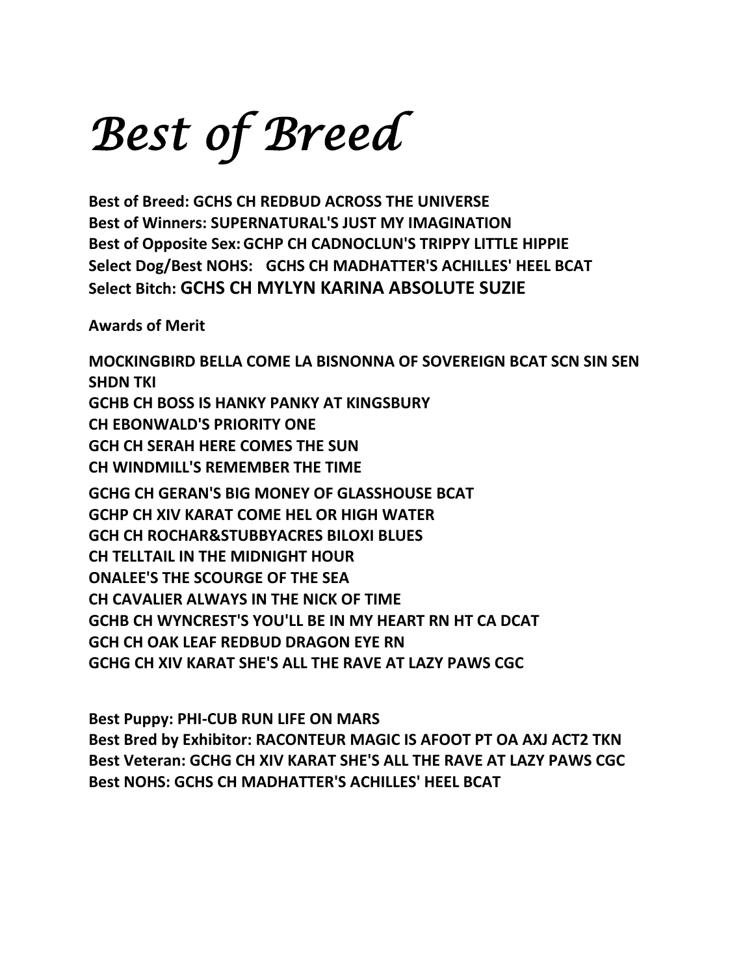# *Best of Breed*

**Best of Breed: GCHS CH REDBUD ACROSS THE UNIVERSE Best of Winners: SUPERNATURAL'S JUST MY IMAGINATION Best of Opposite Sex:GCHP CH CADNOCLUN'S TRIPPY LITTLE HIPPIE Select Dog/Best NOHS: GCHS CH MADHATTER'S ACHILLES' HEEL BCAT Select Bitch: GCHS CH MYLYN KARINA ABSOLUTE SUZIE**

**Awards of Merit**

**MOCKINGBIRD BELLA COME LA BISNONNA OF SOVEREIGN BCAT SCN SIN SEN SHDN TKI GCHB CH BOSS IS HANKY PANKY AT KINGSBURY CH EBONWALD'S PRIORITY ONE GCH CH SERAH HERE COMES THE SUN CH WINDMILL'S REMEMBER THE TIME GCHG CH GERAN'S BIG MONEY OF GLASSHOUSE BCAT GCHP CH XIV KARAT COME HEL OR HIGH WATER GCH CH ROCHAR&STUBBYACRES BILOXI BLUES CH TELLTAIL IN THE MIDNIGHT HOUR ONALEE'S THE SCOURGE OF THE SEA CH CAVALIER ALWAYS IN THE NICK OF TIME GCHB CH WYNCREST'S YOU'LL BE IN MY HEART RN HT CA DCAT GCH CH OAK LEAF REDBUD DRAGON EYE RN GCHG CH XIV KARAT SHE'S ALL THE RAVE AT LAZY PAWS CGC**

**Best Puppy: PHI-CUB RUN LIFE ON MARS Best Bred by Exhibitor: RACONTEUR MAGIC IS AFOOT PT OA AXJ ACT2 TKN Best Veteran: GCHG CH XIV KARAT SHE'S ALL THE RAVE AT LAZY PAWS CGC Best NOHS: GCHS CH MADHATTER'S ACHILLES' HEEL BCAT**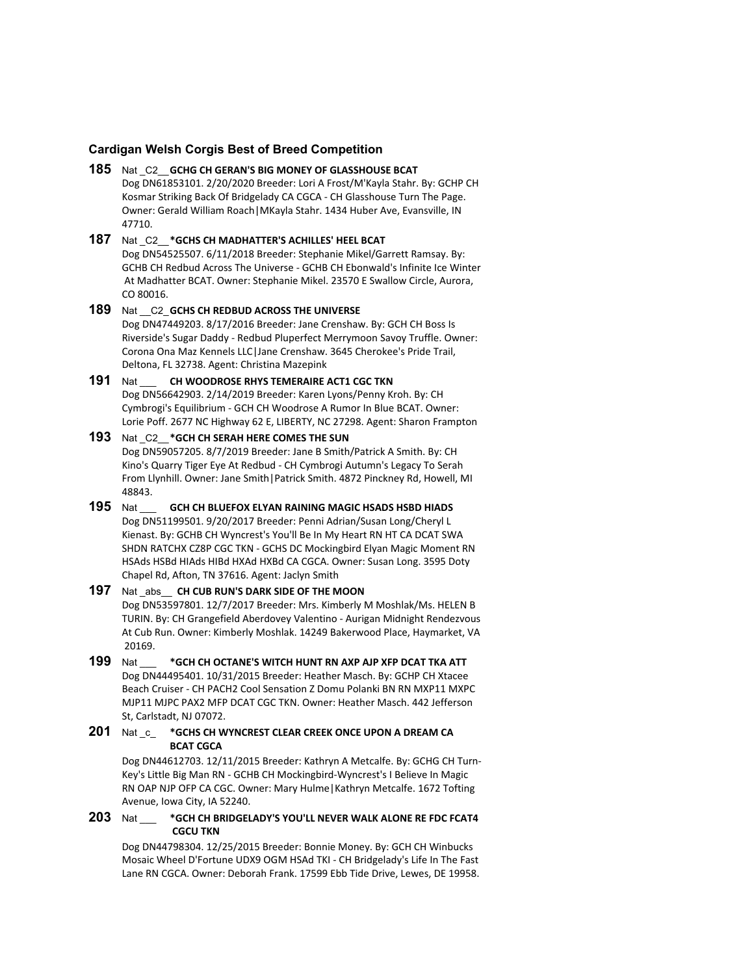#### **Cardigan Welsh Corgis Best of Breed Competition**

- **185** Nat \_C2\_\_**GCHG CH GERAN'S BIG MONEY OF GLASSHOUSE BCAT** Dog DN61853101. 2/20/2020 Breeder: Lori A Frost/M'Kayla Stahr. By: GCHP CH Kosmar Striking Back Of Bridgelady CA CGCA - CH Glasshouse Turn The Page. Owner: Gerald William Roach|MKayla Stahr. 1434 Huber Ave, Evansville, IN 47710.
- **187** Nat \_C2\_\_**\*GCHS CH MADHATTER'S ACHILLES' HEEL BCAT** Dog DN54525507. 6/11/2018 Breeder: Stephanie Mikel/Garrett Ramsay. By: GCHB CH Redbud Across The Universe - GCHB CH Ebonwald's Infinite Ice Winter At Madhatter BCAT. Owner: Stephanie Mikel. 23570 E Swallow Circle, Aurora, CO 80016.
- **189** Nat \_\_C2\_**GCHS CH REDBUD ACROSS THE UNIVERSE** Dog DN47449203. 8/17/2016 Breeder: Jane Crenshaw. By: GCH CH Boss Is Riverside's Sugar Daddy - Redbud Pluperfect Merrymoon Savoy Truffle. Owner: Corona Ona Maz Kennels LLC|Jane Crenshaw. 3645 Cherokee's Pride Trail, Deltona, FL 32738. Agent: Christina Mazepink
- **191** Nat \_\_\_ **CH WOODROSE RHYS TEMERAIRE ACT1 CGC TKN** Dog DN56642903. 2/14/2019 Breeder: Karen Lyons/Penny Kroh. By: CH Cymbrogi's Equilibrium - GCH CH Woodrose A Rumor In Blue BCAT. Owner: Lorie Poff. 2677 NC Highway 62 E, LIBERTY, NC 27298. Agent: Sharon Frampton
- **193** Nat \_C2\_\_**\*GCH CH SERAH HERE COMES THE SUN** Dog DN59057205. 8/7/2019 Breeder: Jane B Smith/Patrick A Smith. By: CH Kino's Quarry Tiger Eye At Redbud - CH Cymbrogi Autumn's Legacy To Serah From Llynhill. Owner: Jane Smith|Patrick Smith. 4872 Pinckney Rd, Howell, MI 48843.
- **195** Nat \_\_\_ **GCH CH BLUEFOX ELYAN RAINING MAGIC HSADS HSBD HIADS** Dog DN51199501. 9/20/2017 Breeder: Penni Adrian/Susan Long/Cheryl L Kienast. By: GCHB CH Wyncrest's You'll Be In My Heart RN HT CA DCAT SWA SHDN RATCHX CZ8P CGC TKN - GCHS DC Mockingbird Elyan Magic Moment RN HSAds HSBd HIAds HIBd HXAd HXBd CA CGCA. Owner: Susan Long. 3595 Doty Chapel Rd, Afton, TN 37616. Agent: Jaclyn Smith
- **197** Nat \_abs\_\_ **CH CUB RUN'S DARK SIDE OF THE MOON** Dog DN53597801. 12/7/2017 Breeder: Mrs. Kimberly M Moshlak/Ms. HELEN B TURIN. By: CH Grangefield Aberdovey Valentino - Aurigan Midnight Rendezvous At Cub Run. Owner: Kimberly Moshlak. 14249 Bakerwood Place, Haymarket, VA 20169.
- **199** Nat \_\_\_ **\*GCH CH OCTANE'S WITCH HUNT RN AXP AJP XFP DCAT TKA ATT** Dog DN44495401. 10/31/2015 Breeder: Heather Masch. By: GCHP CH Xtacee Beach Cruiser - CH PACH2 Cool Sensation Z Domu Polanki BN RN MXP11 MXPC MJP11 MJPC PAX2 MFP DCAT CGC TKN. Owner: Heather Masch. 442 Jefferson St, Carlstadt, NJ 07072.
- **201** Nat \_c\_ **\*GCHS CH WYNCREST CLEAR CREEK ONCE UPON A DREAM CA BCAT CGCA**

Dog DN44612703. 12/11/2015 Breeder: Kathryn A Metcalfe. By: GCHG CH Turn-Key's Little Big Man RN - GCHB CH Mockingbird-Wyncrest's I Believe In Magic RN OAP NJP OFP CA CGC. Owner: Mary Hulme|Kathryn Metcalfe. 1672 Tofting Avenue, Iowa City, IA 52240.

#### **203** Nat \_\_\_ **\*GCH CH BRIDGELADY'S YOU'LL NEVER WALK ALONE RE FDC FCAT4 CGCU TKN**

Dog DN44798304. 12/25/2015 Breeder: Bonnie Money. By: GCH CH Winbucks Mosaic Wheel D'Fortune UDX9 OGM HSAd TKI - CH Bridgelady's Life In The Fast Lane RN CGCA. Owner: Deborah Frank. 17599 Ebb Tide Drive, Lewes, DE 19958.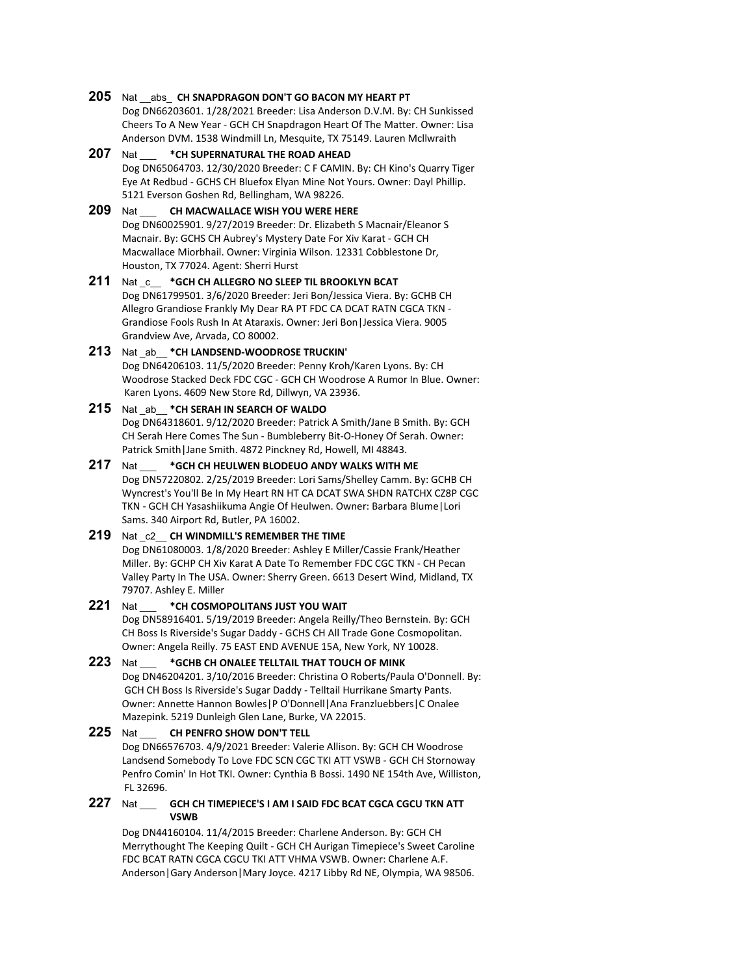#### **205** Nat \_\_abs\_ **CH SNAPDRAGON DON'T GO BACON MY HEART PT** Dog DN66203601. 1/28/2021 Breeder: Lisa Anderson D.V.M. By: CH Sunkissed Cheers To A New Year - GCH CH Snapdragon Heart Of The Matter. Owner: Lisa Anderson DVM. 1538 Windmill Ln, Mesquite, TX 75149. Lauren Mcllwraith

#### **207** Nat \_\_\_ **\*CH SUPERNATURAL THE ROAD AHEAD** Dog DN65064703. 12/30/2020 Breeder: C F CAMIN. By: CH Kino's Quarry Tiger Eye At Redbud - GCHS CH Bluefox Elyan Mine Not Yours. Owner: Dayl Phillip. 5121 Everson Goshen Rd, Bellingham, WA 98226.

#### **209** Nat \_\_\_ **CH MACWALLACE WISH YOU WERE HERE** Dog DN60025901. 9/27/2019 Breeder: Dr. Elizabeth S Macnair/Eleanor S Macnair. By: GCHS CH Aubrey's Mystery Date For Xiv Karat - GCH CH Macwallace Miorbhail. Owner: Virginia Wilson. 12331 Cobblestone Dr, Houston, TX 77024. Agent: Sherri Hurst

#### **211** Nat \_c\_\_ **\*GCH CH ALLEGRO NO SLEEP TIL BROOKLYN BCAT** Dog DN61799501. 3/6/2020 Breeder: Jeri Bon/Jessica Viera. By: GCHB CH Allegro Grandiose Frankly My Dear RA PT FDC CA DCAT RATN CGCA TKN - Grandiose Fools Rush In At Ataraxis. Owner: Jeri Bon|Jessica Viera. 9005 Grandview Ave, Arvada, CO 80002.

#### **213** Nat \_ab\_\_ **\*CH LANDSEND-WOODROSE TRUCKIN'** Dog DN64206103. 11/5/2020 Breeder: Penny Kroh/Karen Lyons. By: CH Woodrose Stacked Deck FDC CGC - GCH CH Woodrose A Rumor In Blue. Owner: Karen Lyons. 4609 New Store Rd, Dillwyn, VA 23936.

#### **215** Nat \_ab\_\_ **\*CH SERAH IN SEARCH OF WALDO**

Dog DN64318601. 9/12/2020 Breeder: Patrick A Smith/Jane B Smith. By: GCH CH Serah Here Comes The Sun - Bumbleberry Bit-O-Honey Of Serah. Owner: Patrick Smith|Jane Smith. 4872 Pinckney Rd, Howell, MI 48843.

#### **217** Nat \_\_\_ **\*GCH CH HEULWEN BLODEUO ANDY WALKS WITH ME** Dog DN57220802. 2/25/2019 Breeder: Lori Sams/Shelley Camm. By: GCHB CH Wyncrest's You'll Be In My Heart RN HT CA DCAT SWA SHDN RATCHX CZ8P CGC TKN - GCH CH Yasashiikuma Angie Of Heulwen. Owner: Barbara Blume|Lori Sams. 340 Airport Rd, Butler, PA 16002.

## **219** Nat \_c2\_\_ **CH WINDMILL'S REMEMBER THE TIME**

Dog DN61080003. 1/8/2020 Breeder: Ashley E Miller/Cassie Frank/Heather Miller. By: GCHP CH Xiv Karat A Date To Remember FDC CGC TKN - CH Pecan Valley Party In The USA. Owner: Sherry Green. 6613 Desert Wind, Midland, TX 79707. Ashley E. Miller

## **221** Nat \_\_\_ **\*CH COSMOPOLITANS JUST YOU WAIT**

Dog DN58916401. 5/19/2019 Breeder: Angela Reilly/Theo Bernstein. By: GCH CH Boss Is Riverside's Sugar Daddy - GCHS CH All Trade Gone Cosmopolitan. Owner: Angela Reilly. 75 EAST END AVENUE 15A, New York, NY 10028.

#### **223** Nat \_\_\_ **\*GCHB CH ONALEE TELLTAIL THAT TOUCH OF MINK** Dog DN46204201. 3/10/2016 Breeder: Christina O Roberts/Paula O'Donnell. By: GCH CH Boss Is Riverside's Sugar Daddy - Telltail Hurrikane Smarty Pants. Owner: Annette Hannon Bowles|P O'Donnell|Ana Franzluebbers|C Onalee Mazepink. 5219 Dunleigh Glen Lane, Burke, VA 22015.

# **225** Nat \_\_\_ **CH PENFRO SHOW DON'T TELL**

Dog DN66576703. 4/9/2021 Breeder: Valerie Allison. By: GCH CH Woodrose Landsend Somebody To Love FDC SCN CGC TKI ATT VSWB - GCH CH Stornoway Penfro Comin' In Hot TKI. Owner: Cynthia B Bossi. 1490 NE 154th Ave, Williston, FL 32696.

### **227** Nat \_\_\_ **GCH CH TIMEPIECE'S I AM I SAID FDC BCAT CGCA CGCU TKN ATT VSWB**

Dog DN44160104. 11/4/2015 Breeder: Charlene Anderson. By: GCH CH Merrythought The Keeping Quilt - GCH CH Aurigan Timepiece's Sweet Caroline FDC BCAT RATN CGCA CGCU TKI ATT VHMA VSWB. Owner: Charlene A.F. Anderson|Gary Anderson|Mary Joyce. 4217 Libby Rd NE, Olympia, WA 98506.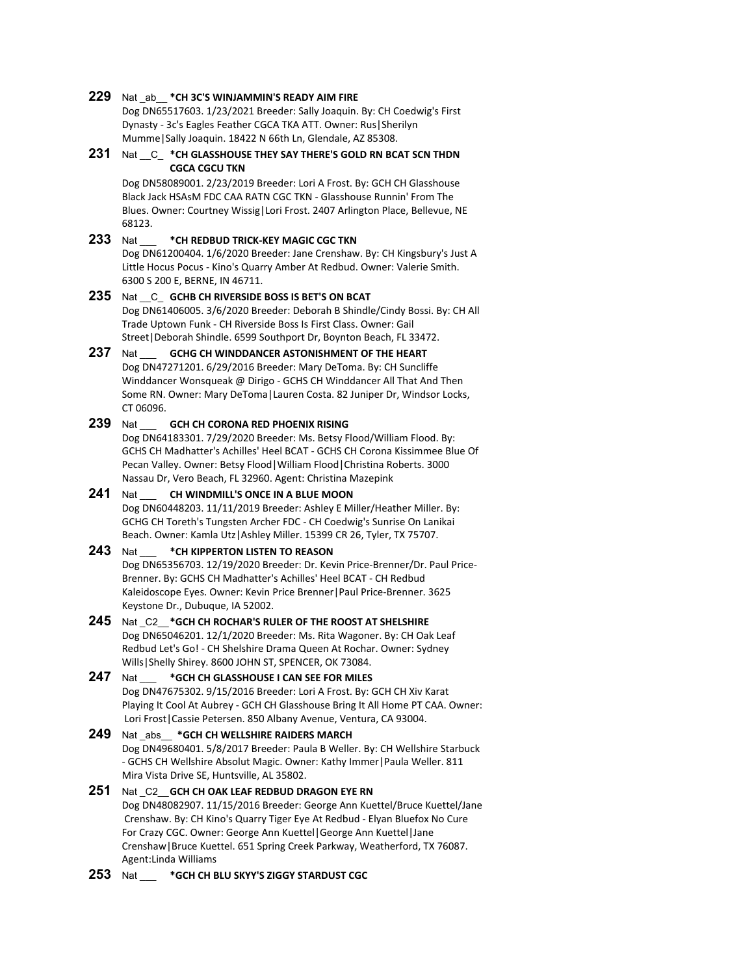#### **229** Nat \_ab\_\_ **\*CH 3C'S WINJAMMIN'S READY AIM FIRE**

Dog DN65517603. 1/23/2021 Breeder: Sally Joaquin. By: CH Coedwig's First Dynasty - 3c's Eagles Feather CGCA TKA ATT. Owner: Rus|Sherilyn Mumme|Sally Joaquin. 18422 N 66th Ln, Glendale, AZ 85308.

#### **231** Nat \_\_C\_ **\*CH GLASSHOUSE THEY SAY THERE'S GOLD RN BCAT SCN THDN CGCA CGCU TKN**

Dog DN58089001. 2/23/2019 Breeder: Lori A Frost. By: GCH CH Glasshouse Black Jack HSAsM FDC CAA RATN CGC TKN - Glasshouse Runnin' From The Blues. Owner: Courtney Wissig|Lori Frost. 2407 Arlington Place, Bellevue, NE 68123.

#### **233** Nat \_\_\_ **\*CH REDBUD TRICK-KEY MAGIC CGC TKN**

Dog DN61200404. 1/6/2020 Breeder: Jane Crenshaw. By: CH Kingsbury's Just A Little Hocus Pocus - Kino's Quarry Amber At Redbud. Owner: Valerie Smith. 6300 S 200 E, BERNE, IN 46711.

- **235** Nat \_\_C\_ **GCHB CH RIVERSIDE BOSS IS BET'S ON BCAT** Dog DN61406005. 3/6/2020 Breeder: Deborah B Shindle/Cindy Bossi. By: CH All Trade Uptown Funk - CH Riverside Boss Is First Class. Owner: Gail Street|Deborah Shindle. 6599 Southport Dr, Boynton Beach, FL 33472.
- **237** Nat \_\_\_ **GCHG CH WINDDANCER ASTONISHMENT OF THE HEART** Dog DN47271201. 6/29/2016 Breeder: Mary DeToma. By: CH Suncliffe Winddancer Wonsqueak @ Dirigo - GCHS CH Winddancer All That And Then Some RN. Owner: Mary DeToma|Lauren Costa. 82 Juniper Dr, Windsor Locks, CT 06096.

#### **239** Nat \_\_\_ **GCH CH CORONA RED PHOENIX RISING**

Dog DN64183301. 7/29/2020 Breeder: Ms. Betsy Flood/William Flood. By: GCHS CH Madhatter's Achilles' Heel BCAT - GCHS CH Corona Kissimmee Blue Of Pecan Valley. Owner: Betsy Flood|William Flood|Christina Roberts. 3000 Nassau Dr, Vero Beach, FL 32960. Agent: Christina Mazepink

## **241** Nat \_\_\_ **CH WINDMILL'S ONCE IN A BLUE MOON**

Dog DN60448203. 11/11/2019 Breeder: Ashley E Miller/Heather Miller. By: GCHG CH Toreth's Tungsten Archer FDC - CH Coedwig's Sunrise On Lanikai Beach. Owner: Kamla Utz|Ashley Miller. 15399 CR 26, Tyler, TX 75707.

#### **243** Nat \_\_\_ **\*CH KIPPERTON LISTEN TO REASON**

Dog DN65356703. 12/19/2020 Breeder: Dr. Kevin Price-Brenner/Dr. Paul Price-Brenner. By: GCHS CH Madhatter's Achilles' Heel BCAT - CH Redbud Kaleidoscope Eyes. Owner: Kevin Price Brenner|Paul Price-Brenner. 3625 Keystone Dr., Dubuque, IA 52002.

**245** Nat \_C2\_\_**\*GCH CH ROCHAR'S RULER OF THE ROOST AT SHELSHIRE** Dog DN65046201. 12/1/2020 Breeder: Ms. Rita Wagoner. By: CH Oak Leaf Redbud Let's Go! - CH Shelshire Drama Queen At Rochar. Owner: Sydney Wills|Shelly Shirey. 8600 JOHN ST, SPENCER, OK 73084.

## **247** Nat \_\_\_ **\*GCH CH GLASSHOUSE I CAN SEE FOR MILES** Dog DN47675302. 9/15/2016 Breeder: Lori A Frost. By: GCH CH Xiv Karat

Playing It Cool At Aubrey - GCH CH Glasshouse Bring It All Home PT CAA. Owner: Lori Frost|Cassie Petersen. 850 Albany Avenue, Ventura, CA 93004.

### **249** Nat \_abs\_\_ **\*GCH CH WELLSHIRE RAIDERS MARCH**

Dog DN49680401. 5/8/2017 Breeder: Paula B Weller. By: CH Wellshire Starbuck - GCHS CH Wellshire Absolut Magic. Owner: Kathy Immer|Paula Weller. 811 Mira Vista Drive SE, Huntsville, AL 35802.

#### **251** Nat \_C2\_\_**GCH CH OAK LEAF REDBUD DRAGON EYE RN** Dog DN48082907. 11/15/2016 Breeder: George Ann Kuettel/Bruce Kuettel/Jane Crenshaw. By: CH Kino's Quarry Tiger Eye At Redbud - Elyan Bluefox No Cure For Crazy CGC. Owner: George Ann Kuettel|George Ann Kuettel|Jane Crenshaw|Bruce Kuettel. 651 Spring Creek Parkway, Weatherford, TX 76087. Agent:Linda Williams

**253** Nat \_\_\_ **\*GCH CH BLU SKYY'S ZIGGY STARDUST CGC**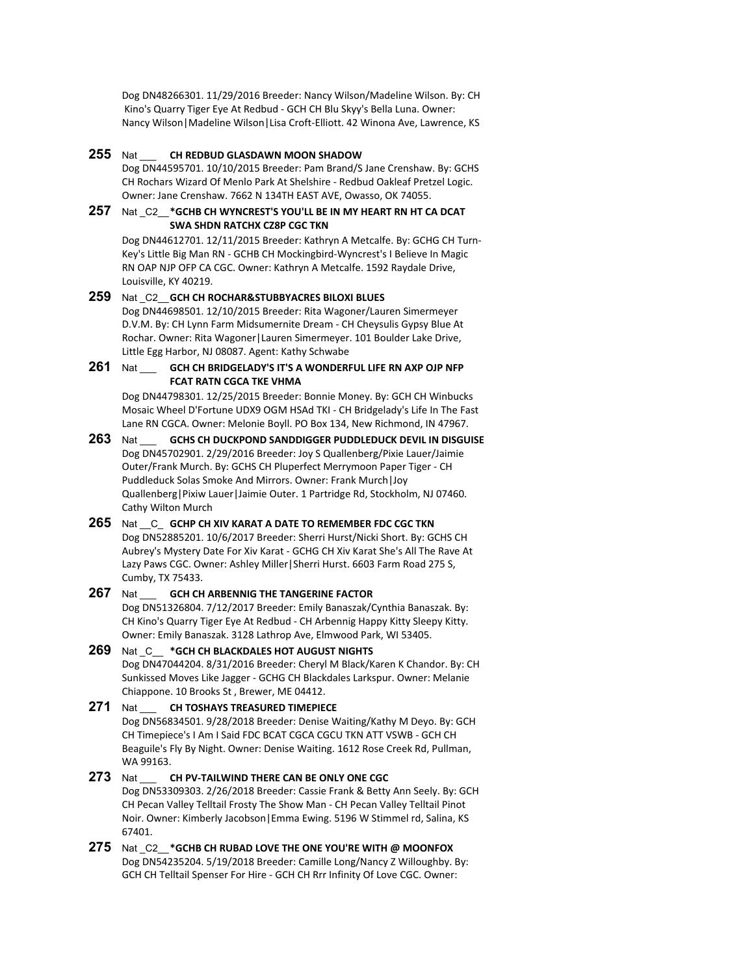Dog DN48266301. 11/29/2016 Breeder: Nancy Wilson/Madeline Wilson. By: CH Kino's Quarry Tiger Eye At Redbud - GCH CH Blu Skyy's Bella Luna. Owner: Nancy Wilson|Madeline Wilson|Lisa Croft-Elliott. 42 Winona Ave, Lawrence, KS

#### **255** Nat \_\_\_ **CH REDBUD GLASDAWN MOON SHADOW**

Dog DN44595701. 10/10/2015 Breeder: Pam Brand/S Jane Crenshaw. By: GCHS CH Rochars Wizard Of Menlo Park At Shelshire - Redbud Oakleaf Pretzel Logic. Owner: Jane Crenshaw. 7662 N 134TH EAST AVE, Owasso, OK 74055.

#### **257** Nat \_C2\_\_**\*GCHB CH WYNCREST'S YOU'LL BE IN MY HEART RN HT CA DCAT SWA SHDN RATCHX CZ8P CGC TKN**

Dog DN44612701. 12/11/2015 Breeder: Kathryn A Metcalfe. By: GCHG CH Turn-Key's Little Big Man RN - GCHB CH Mockingbird-Wyncrest's I Believe In Magic RN OAP NJP OFP CA CGC. Owner: Kathryn A Metcalfe. 1592 Raydale Drive, Louisville, KY 40219.

**259** Nat \_C2\_\_**GCH CH ROCHAR&STUBBYACRES BILOXI BLUES** Dog DN44698501. 12/10/2015 Breeder: Rita Wagoner/Lauren Simermeyer D.V.M. By: CH Lynn Farm Midsumernite Dream - CH Cheysulis Gypsy Blue At Rochar. Owner: Rita Wagoner|Lauren Simermeyer. 101 Boulder Lake Drive, Little Egg Harbor, NJ 08087. Agent: Kathy Schwabe

#### **261** Nat \_\_\_ **GCH CH BRIDGELADY'S IT'S A WONDERFUL LIFE RN AXP OJP NFP FCAT RATN CGCA TKE VHMA**

Dog DN44798301. 12/25/2015 Breeder: Bonnie Money. By: GCH CH Winbucks Mosaic Wheel D'Fortune UDX9 OGM HSAd TKI - CH Bridgelady's Life In The Fast Lane RN CGCA. Owner: Melonie Boyll. PO Box 134, New Richmond, IN 47967.

- **263** Nat \_\_\_ **GCHS CH DUCKPOND SANDDIGGER PUDDLEDUCK DEVIL IN DISGUISE** Dog DN45702901. 2/29/2016 Breeder: Joy S Quallenberg/Pixie Lauer/Jaimie Outer/Frank Murch. By: GCHS CH Pluperfect Merrymoon Paper Tiger - CH Puddleduck Solas Smoke And Mirrors. Owner: Frank Murch|Joy Quallenberg|Pixiw Lauer|Jaimie Outer. 1 Partridge Rd, Stockholm, NJ 07460. Cathy Wilton Murch
- **265** Nat \_\_C\_ **GCHP CH XIV KARAT A DATE TO REMEMBER FDC CGC TKN** Dog DN52885201. 10/6/2017 Breeder: Sherri Hurst/Nicki Short. By: GCHS CH Aubrey's Mystery Date For Xiv Karat - GCHG CH Xiv Karat She's All The Rave At Lazy Paws CGC. Owner: Ashley Miller|Sherri Hurst. 6603 Farm Road 275 S, Cumby, TX 75433.

#### **267** Nat \_\_\_ **GCH CH ARBENNIG THE TANGERINE FACTOR** Dog DN51326804. 7/12/2017 Breeder: Emily Banaszak/Cynthia Banaszak. By: CH Kino's Quarry Tiger Eye At Redbud - CH Arbennig Happy Kitty Sleepy Kitty. Owner: Emily Banaszak. 3128 Lathrop Ave, Elmwood Park, WI 53405.

#### **269** Nat \_C\_\_ **\*GCH CH BLACKDALES HOT AUGUST NIGHTS** Dog DN47044204. 8/31/2016 Breeder: Cheryl M Black/Karen K Chandor. By: CH Sunkissed Moves Like Jagger - GCHG CH Blackdales Larkspur. Owner: Melanie Chiappone. 10 Brooks St , Brewer, ME 04412.

#### **271** Nat \_\_\_ **CH TOSHAYS TREASURED TIMEPIECE**

Dog DN56834501. 9/28/2018 Breeder: Denise Waiting/Kathy M Deyo. By: GCH CH Timepiece's I Am I Said FDC BCAT CGCA CGCU TKN ATT VSWB - GCH CH Beaguile's Fly By Night. Owner: Denise Waiting. 1612 Rose Creek Rd, Pullman, WA 99163.

#### **273** Nat \_\_\_ **CH PV-TAILWIND THERE CAN BE ONLY ONE CGC** Dog DN53309303. 2/26/2018 Breeder: Cassie Frank & Betty Ann Seely. By: GCH CH Pecan Valley Telltail Frosty The Show Man - CH Pecan Valley Telltail Pinot Noir. Owner: Kimberly Jacobson|Emma Ewing. 5196 W Stimmel rd, Salina, KS 67401.

**275** Nat \_C2\_\_**\*GCHB CH RUBAD LOVE THE ONE YOU'RE WITH @ MOONFOX** Dog DN54235204. 5/19/2018 Breeder: Camille Long/Nancy Z Willoughby. By: GCH CH Telltail Spenser For Hire - GCH CH Rrr Infinity Of Love CGC. Owner: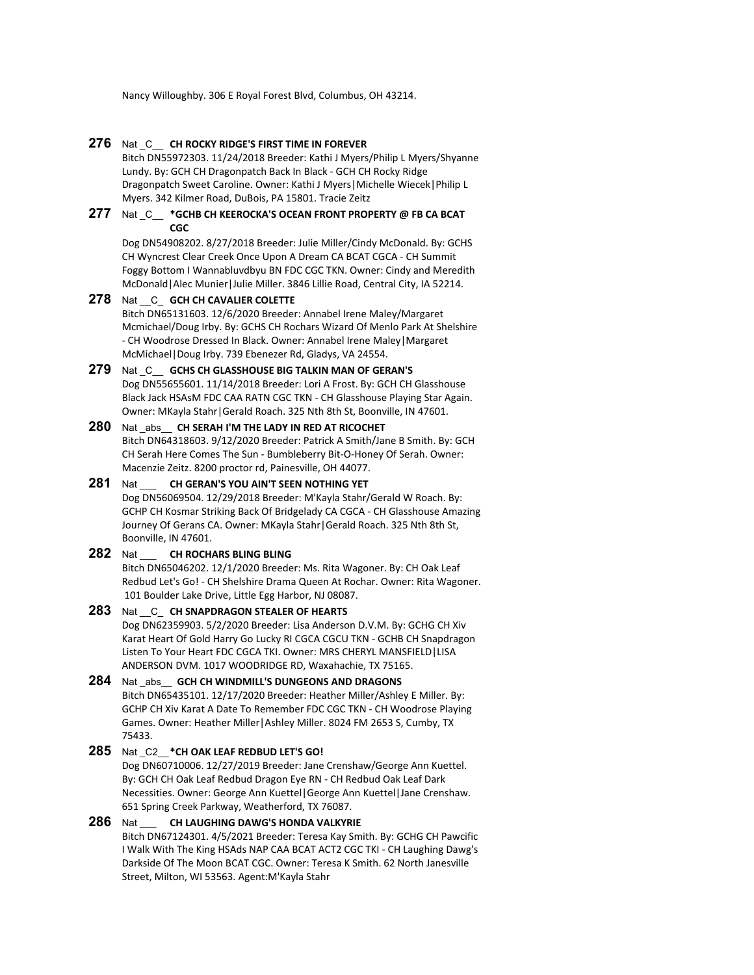Nancy Willoughby. 306 E Royal Forest Blvd, Columbus, OH 43214.

#### **276** Nat \_C\_\_ **CH ROCKY RIDGE'S FIRST TIME IN FOREVER**

Bitch DN55972303. 11/24/2018 Breeder: Kathi J Myers/Philip L Myers/Shyanne Lundy. By: GCH CH Dragonpatch Back In Black - GCH CH Rocky Ridge Dragonpatch Sweet Caroline. Owner: Kathi J Myers|Michelle Wiecek|Philip L Myers. 342 Kilmer Road, DuBois, PA 15801. Tracie Zeitz

#### 277 Nat C \*GCHB CH KEEROCKA'S OCEAN FRONT PROPERTY @ FB CA BCAT **CGC**

Dog DN54908202. 8/27/2018 Breeder: Julie Miller/Cindy McDonald. By: GCHS CH Wyncrest Clear Creek Once Upon A Dream CA BCAT CGCA - CH Summit Foggy Bottom I Wannabluvdbyu BN FDC CGC TKN. Owner: Cindy and Meredith McDonald|Alec Munier|Julie Miller. 3846 Lillie Road, Central City, IA 52214.

#### **278** Nat \_\_C\_ **GCH CH CAVALIER COLETTE** Bitch DN65131603. 12/6/2020 Breeder: Annabel Irene Maley/Margaret Mcmichael/Doug Irby. By: GCHS CH Rochars Wizard Of Menlo Park At Shelshire - CH Woodrose Dressed In Black. Owner: Annabel Irene Maley|Margaret McMichael|Doug Irby. 739 Ebenezer Rd, Gladys, VA 24554.

#### **279** Nat \_C\_\_ **GCHS CH GLASSHOUSE BIG TALKIN MAN OF GERAN'S** Dog DN55655601. 11/14/2018 Breeder: Lori A Frost. By: GCH CH Glasshouse Black Jack HSAsM FDC CAA RATN CGC TKN - CH Glasshouse Playing Star Again. Owner: MKayla Stahr|Gerald Roach. 325 Nth 8th St, Boonville, IN 47601.

#### **280** Nat \_abs\_\_ **CH SERAH I'M THE LADY IN RED AT RICOCHET** Bitch DN64318603. 9/12/2020 Breeder: Patrick A Smith/Jane B Smith. By: GCH CH Serah Here Comes The Sun - Bumbleberry Bit-O-Honey Of Serah. Owner: Macenzie Zeitz. 8200 proctor rd, Painesville, OH 44077.

#### **281** Nat \_\_\_ **CH GERAN'S YOU AIN'T SEEN NOTHING YET**

Dog DN56069504. 12/29/2018 Breeder: M'Kayla Stahr/Gerald W Roach. By: GCHP CH Kosmar Striking Back Of Bridgelady CA CGCA - CH Glasshouse Amazing Journey Of Gerans CA. Owner: MKayla Stahr|Gerald Roach. 325 Nth 8th St, Boonville, IN 47601.

#### **282** Nat \_\_\_ **CH ROCHARS BLING BLING**

Bitch DN65046202. 12/1/2020 Breeder: Ms. Rita Wagoner. By: CH Oak Leaf Redbud Let's Go! - CH Shelshire Drama Queen At Rochar. Owner: Rita Wagoner. 101 Boulder Lake Drive, Little Egg Harbor, NJ 08087.

## **283** Nat \_\_C\_ **CH SNAPDRAGON STEALER OF HEARTS**

Dog DN62359903. 5/2/2020 Breeder: Lisa Anderson D.V.M. By: GCHG CH Xiv Karat Heart Of Gold Harry Go Lucky RI CGCA CGCU TKN - GCHB CH Snapdragon Listen To Your Heart FDC CGCA TKI. Owner: MRS CHERYL MANSFIELD|LISA ANDERSON DVM. 1017 WOODRIDGE RD, Waxahachie, TX 75165.

#### **284** Nat \_abs\_\_ **GCH CH WINDMILL'S DUNGEONS AND DRAGONS** Bitch DN65435101. 12/17/2020 Breeder: Heather Miller/Ashley E Miller. By: GCHP CH Xiv Karat A Date To Remember FDC CGC TKN - CH Woodrose Playing Games. Owner: Heather Miller|Ashley Miller. 8024 FM 2653 S, Cumby, TX 75433.

#### **285** Nat \_C2\_\_**\*CH OAK LEAF REDBUD LET'S GO!** Dog DN60710006. 12/27/2019 Breeder: Jane Crenshaw/George Ann Kuettel. By: GCH CH Oak Leaf Redbud Dragon Eye RN - CH Redbud Oak Leaf Dark

Necessities. Owner: George Ann Kuettel|George Ann Kuettel|Jane Crenshaw. 651 Spring Creek Parkway, Weatherford, TX 76087.

#### **286** Nat \_\_\_ **CH LAUGHING DAWG'S HONDA VALKYRIE**

Bitch DN67124301. 4/5/2021 Breeder: Teresa Kay Smith. By: GCHG CH Pawcific I Walk With The King HSAds NAP CAA BCAT ACT2 CGC TKI - CH Laughing Dawg's Darkside Of The Moon BCAT CGC. Owner: Teresa K Smith. 62 North Janesville Street, Milton, WI 53563. Agent:M'Kayla Stahr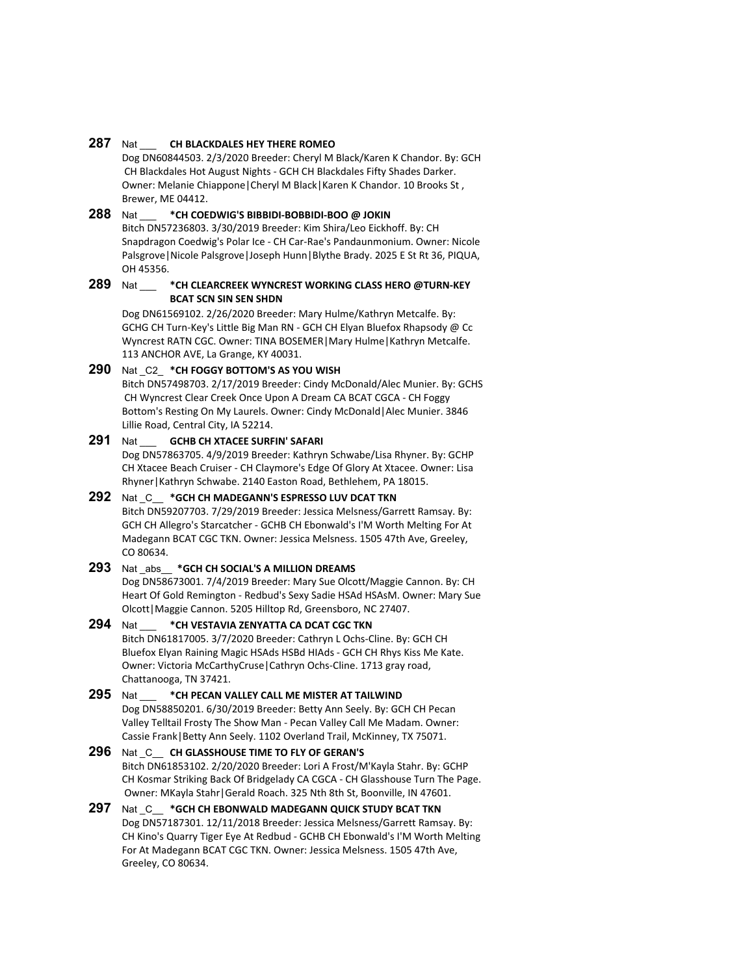#### **287** Nat \_\_\_ **CH BLACKDALES HEY THERE ROMEO**

Dog DN60844503. 2/3/2020 Breeder: Cheryl M Black/Karen K Chandor. By: GCH CH Blackdales Hot August Nights - GCH CH Blackdales Fifty Shades Darker. Owner: Melanie Chiappone|Cheryl M Black|Karen K Chandor. 10 Brooks St , Brewer, ME 04412.

**288** Nat \_\_\_ **\*CH COEDWIG'S BIBBIDI-BOBBIDI-BOO @ JOKIN** Bitch DN57236803. 3/30/2019 Breeder: Kim Shira/Leo Eickhoff. By: CH Snapdragon Coedwig's Polar Ice - CH Car-Rae's Pandaunmonium. Owner: Nicole Palsgrove|Nicole Palsgrove|Joseph Hunn|Blythe Brady. 2025 E St Rt 36, PIQUA, OH 45356.

#### **289** Nat \_\_\_ **\*CH CLEARCREEK WYNCREST WORKING CLASS HERO @TURN-KEY BCAT SCN SIN SEN SHDN**

Dog DN61569102. 2/26/2020 Breeder: Mary Hulme/Kathryn Metcalfe. By: GCHG CH Turn-Key's Little Big Man RN - GCH CH Elyan Bluefox Rhapsody @ Cc Wyncrest RATN CGC. Owner: TINA BOSEMER|Mary Hulme|Kathryn Metcalfe. 113 ANCHOR AVE, La Grange, KY 40031.

## **290** Nat \_C2\_ **\*CH FOGGY BOTTOM'S AS YOU WISH**

Bitch DN57498703. 2/17/2019 Breeder: Cindy McDonald/Alec Munier. By: GCHS CH Wyncrest Clear Creek Once Upon A Dream CA BCAT CGCA - CH Foggy Bottom's Resting On My Laurels. Owner: Cindy McDonald|Alec Munier. 3846 Lillie Road, Central City, IA 52214.

## **291** Nat \_\_\_ **GCHB CH XTACEE SURFIN' SAFARI**

Dog DN57863705. 4/9/2019 Breeder: Kathryn Schwabe/Lisa Rhyner. By: GCHP CH Xtacee Beach Cruiser - CH Claymore's Edge Of Glory At Xtacee. Owner: Lisa Rhyner|Kathryn Schwabe. 2140 Easton Road, Bethlehem, PA 18015.

#### **292** Nat \_C\_\_ **\*GCH CH MADEGANN'S ESPRESSO LUV DCAT TKN** Bitch DN59207703. 7/29/2019 Breeder: Jessica Melsness/Garrett Ramsay. By: GCH CH Allegro's Starcatcher - GCHB CH Ebonwald's I'M Worth Melting For At Madegann BCAT CGC TKN. Owner: Jessica Melsness. 1505 47th Ave, Greeley, CO 80634.

#### **293** Nat \_abs\_\_ **\*GCH CH SOCIAL'S A MILLION DREAMS**

Dog DN58673001. 7/4/2019 Breeder: Mary Sue Olcott/Maggie Cannon. By: CH Heart Of Gold Remington - Redbud's Sexy Sadie HSAd HSAsM. Owner: Mary Sue Olcott|Maggie Cannon. 5205 Hilltop Rd, Greensboro, NC 27407.

#### **294** Nat \_\_\_ **\*CH VESTAVIA ZENYATTA CA DCAT CGC TKN** Bitch DN61817005. 3/7/2020 Breeder: Cathryn L Ochs-Cline. By: GCH CH Bluefox Elyan Raining Magic HSAds HSBd HIAds - GCH CH Rhys Kiss Me Kate. Owner: Victoria McCarthyCruse|Cathryn Ochs-Cline. 1713 gray road,

Chattanooga, TN 37421.

# **295** Nat \_\_\_ **\*CH PECAN VALLEY CALL ME MISTER AT TAILWIND**

Dog DN58850201. 6/30/2019 Breeder: Betty Ann Seely. By: GCH CH Pecan Valley Telltail Frosty The Show Man - Pecan Valley Call Me Madam. Owner: Cassie Frank|Betty Ann Seely. 1102 Overland Trail, McKinney, TX 75071.

#### **296** Nat \_C\_\_ **CH GLASSHOUSE TIME TO FLY OF GERAN'S** Bitch DN61853102. 2/20/2020 Breeder: Lori A Frost/M'Kayla Stahr. By: GCHP CH Kosmar Striking Back Of Bridgelady CA CGCA - CH Glasshouse Turn The Page. Owner: MKayla Stahr|Gerald Roach. 325 Nth 8th St, Boonville, IN 47601.

**297** Nat \_C\_\_ **\*GCH CH EBONWALD MADEGANN QUICK STUDY BCAT TKN** Dog DN57187301. 12/11/2018 Breeder: Jessica Melsness/Garrett Ramsay. By: CH Kino's Quarry Tiger Eye At Redbud - GCHB CH Ebonwald's I'M Worth Melting For At Madegann BCAT CGC TKN. Owner: Jessica Melsness. 1505 47th Ave, Greeley, CO 80634.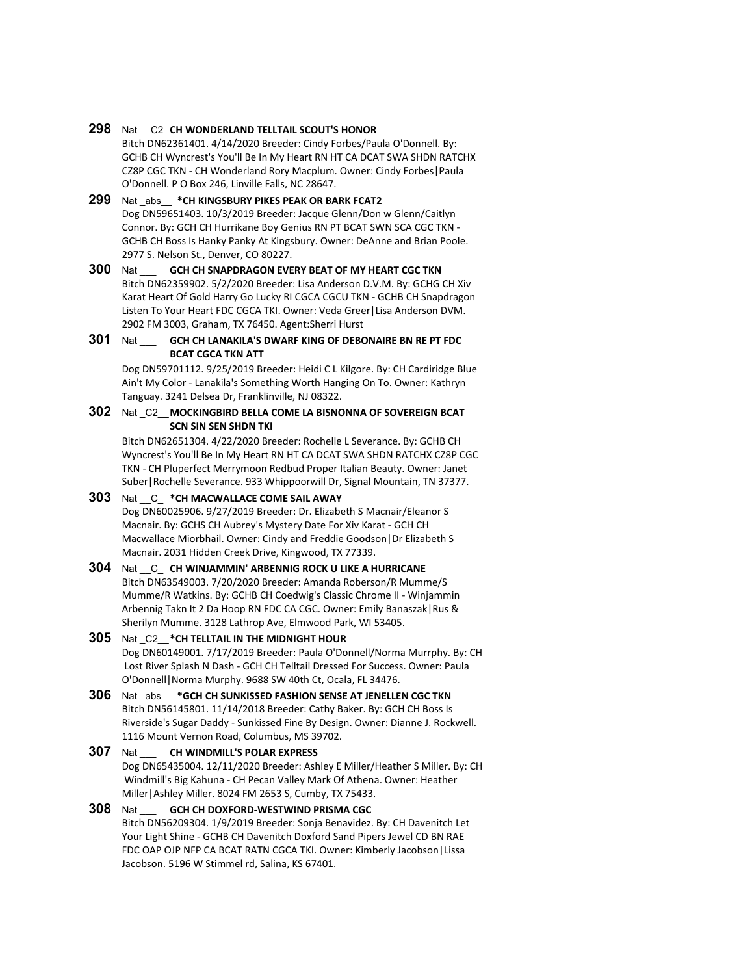#### **298** Nat \_\_C2\_**CH WONDERLAND TELLTAIL SCOUT'S HONOR**

Bitch DN62361401. 4/14/2020 Breeder: Cindy Forbes/Paula O'Donnell. By: GCHB CH Wyncrest's You'll Be In My Heart RN HT CA DCAT SWA SHDN RATCHX CZ8P CGC TKN - CH Wonderland Rory Macplum. Owner: Cindy Forbes|Paula O'Donnell. P O Box 246, Linville Falls, NC 28647.

# **299** Nat \_abs\_\_ **\*CH KINGSBURY PIKES PEAK OR BARK FCAT2**

Dog DN59651403. 10/3/2019 Breeder: Jacque Glenn/Don w Glenn/Caitlyn Connor. By: GCH CH Hurrikane Boy Genius RN PT BCAT SWN SCA CGC TKN - GCHB CH Boss Is Hanky Panky At Kingsbury. Owner: DeAnne and Brian Poole. 2977 S. Nelson St., Denver, CO 80227.

**300** Nat \_\_\_ **GCH CH SNAPDRAGON EVERY BEAT OF MY HEART CGC TKN** Bitch DN62359902. 5/2/2020 Breeder: Lisa Anderson D.V.M. By: GCHG CH Xiv Karat Heart Of Gold Harry Go Lucky RI CGCA CGCU TKN - GCHB CH Snapdragon Listen To Your Heart FDC CGCA TKI. Owner: Veda Greer|Lisa Anderson DVM. 2902 FM 3003, Graham, TX 76450. Agent:Sherri Hurst

#### **301** Nat \_\_\_ **GCH CH LANAKILA'S DWARF KING OF DEBONAIRE BN RE PT FDC BCAT CGCA TKN ATT**

Dog DN59701112. 9/25/2019 Breeder: Heidi C L Kilgore. By: CH Cardiridge Blue Ain't My Color - Lanakila's Something Worth Hanging On To. Owner: Kathryn Tanguay. 3241 Delsea Dr, Franklinville, NJ 08322.

#### **302** Nat \_C2\_\_**MOCKINGBIRD BELLA COME LA BISNONNA OF SOVEREIGN BCAT SCN SIN SEN SHDN TKI**

Bitch DN62651304. 4/22/2020 Breeder: Rochelle L Severance. By: GCHB CH Wyncrest's You'll Be In My Heart RN HT CA DCAT SWA SHDN RATCHX CZ8P CGC TKN - CH Pluperfect Merrymoon Redbud Proper Italian Beauty. Owner: Janet Suber|Rochelle Severance. 933 Whippoorwill Dr, Signal Mountain, TN 37377.

#### **303** Nat \_\_C\_ **\*CH MACWALLACE COME SAIL AWAY**

Dog DN60025906. 9/27/2019 Breeder: Dr. Elizabeth S Macnair/Eleanor S Macnair. By: GCHS CH Aubrey's Mystery Date For Xiv Karat - GCH CH Macwallace Miorbhail. Owner: Cindy and Freddie Goodson|Dr Elizabeth S Macnair. 2031 Hidden Creek Drive, Kingwood, TX 77339.

#### **304** Nat \_\_C\_ **CH WINJAMMIN' ARBENNIG ROCK U LIKE A HURRICANE** Bitch DN63549003. 7/20/2020 Breeder: Amanda Roberson/R Mumme/S Mumme/R Watkins. By: GCHB CH Coedwig's Classic Chrome II - Winjammin Arbennig Takn It 2 Da Hoop RN FDC CA CGC. Owner: Emily Banaszak|Rus & Sherilyn Mumme. 3128 Lathrop Ave, Elmwood Park, WI 53405.

#### **305** Nat \_C2\_\_**\*CH TELLTAIL IN THE MIDNIGHT HOUR** Dog DN60149001. 7/17/2019 Breeder: Paula O'Donnell/Norma Murrphy. By: CH Lost River Splash N Dash - GCH CH Telltail Dressed For Success. Owner: Paula O'Donnell|Norma Murphy. 9688 SW 40th Ct, Ocala, FL 34476.

**306** Nat \_abs\_\_ **\*GCH CH SUNKISSED FASHION SENSE AT JENELLEN CGC TKN** Bitch DN56145801. 11/14/2018 Breeder: Cathy Baker. By: GCH CH Boss Is Riverside's Sugar Daddy - Sunkissed Fine By Design. Owner: Dianne J. Rockwell. 1116 Mount Vernon Road, Columbus, MS 39702.

#### **307** Nat \_\_\_ **CH WINDMILL'S POLAR EXPRESS** Dog DN65435004. 12/11/2020 Breeder: Ashley E Miller/Heather S Miller. By: CH Windmill's Big Kahuna - CH Pecan Valley Mark Of Athena. Owner: Heather Miller|Ashley Miller. 8024 FM 2653 S, Cumby, TX 75433.

#### **308** Nat \_\_\_ **GCH CH DOXFORD-WESTWIND PRISMA CGC** Bitch DN56209304. 1/9/2019 Breeder: Sonja Benavidez. By: CH Davenitch Let Your Light Shine - GCHB CH Davenitch Doxford Sand Pipers Jewel CD BN RAE FDC OAP OJP NFP CA BCAT RATN CGCA TKI. Owner: Kimberly Jacobson|Lissa Jacobson. 5196 W Stimmel rd, Salina, KS 67401.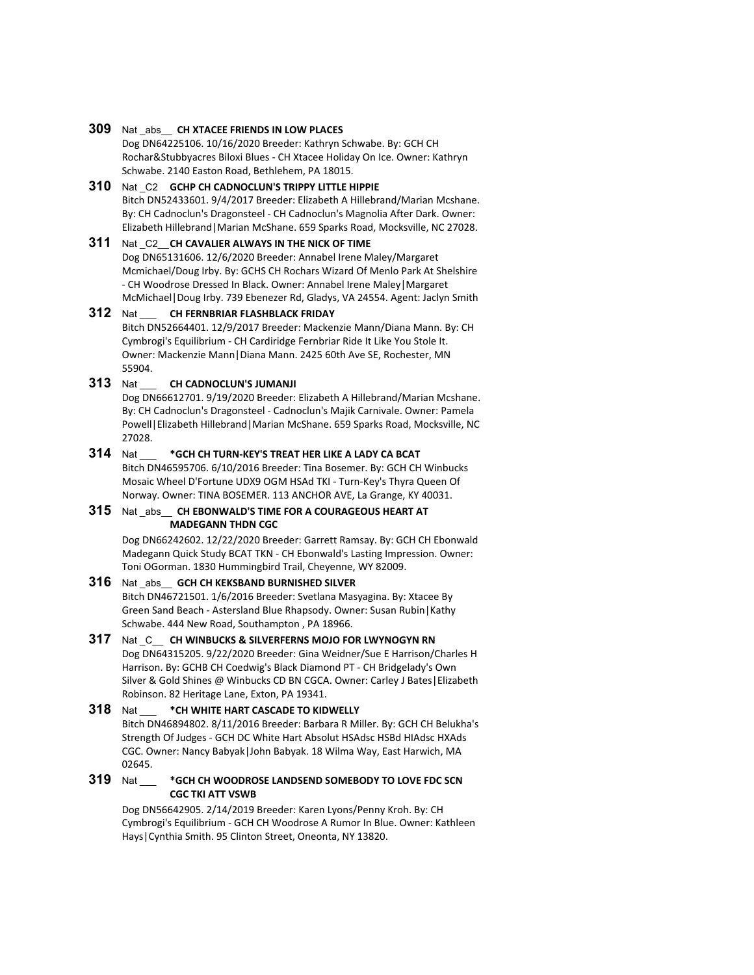#### **309** Nat \_abs\_\_ **CH XTACEE FRIENDS IN LOW PLACES**

Dog DN64225106. 10/16/2020 Breeder: Kathryn Schwabe. By: GCH CH Rochar&Stubbyacres Biloxi Blues - CH Xtacee Holiday On Ice. Owner: Kathryn Schwabe. 2140 Easton Road, Bethlehem, PA 18015.

**310** Nat \_C2 **GCHP CH CADNOCLUN'S TRIPPY LITTLE HIPPIE** Bitch DN52433601. 9/4/2017 Breeder: Elizabeth A Hillebrand/Marian Mcshane. By: CH Cadnoclun's Dragonsteel - CH Cadnoclun's Magnolia After Dark. Owner: Elizabeth Hillebrand|Marian McShane. 659 Sparks Road, Mocksville, NC 27028.

#### **311** Nat \_C2\_\_**CH CAVALIER ALWAYS IN THE NICK OF TIME**

Dog DN65131606. 12/6/2020 Breeder: Annabel Irene Maley/Margaret Mcmichael/Doug Irby. By: GCHS CH Rochars Wizard Of Menlo Park At Shelshire - CH Woodrose Dressed In Black. Owner: Annabel Irene Maley|Margaret McMichael|Doug Irby. 739 Ebenezer Rd, Gladys, VA 24554. Agent: Jaclyn Smith

## **312** Nat \_\_\_ **CH FERNBRIAR FLASHBLACK FRIDAY**

Bitch DN52664401. 12/9/2017 Breeder: Mackenzie Mann/Diana Mann. By: CH Cymbrogi's Equilibrium - CH Cardiridge Fernbriar Ride It Like You Stole It. Owner: Mackenzie Mann|Diana Mann. 2425 60th Ave SE, Rochester, MN 55904.

#### **313** Nat \_\_\_ **CH CADNOCLUN'S JUMANJI**

Dog DN66612701. 9/19/2020 Breeder: Elizabeth A Hillebrand/Marian Mcshane. By: CH Cadnoclun's Dragonsteel - Cadnoclun's Majik Carnivale. Owner: Pamela Powell|Elizabeth Hillebrand|Marian McShane. 659 Sparks Road, Mocksville, NC 27028

## **314** Nat \_\_\_ **\*GCH CH TURN-KEY'S TREAT HER LIKE A LADY CA BCAT**

Bitch DN46595706. 6/10/2016 Breeder: Tina Bosemer. By: GCH CH Winbucks Mosaic Wheel D'Fortune UDX9 OGM HSAd TKI - Turn-Key's Thyra Queen Of Norway. Owner: TINA BOSEMER. 113 ANCHOR AVE, La Grange, KY 40031.

#### **315** Nat \_abs\_\_ **CH EBONWALD'S TIME FOR A COURAGEOUS HEART AT MADEGANN THDN CGC**

Dog DN66242602. 12/22/2020 Breeder: Garrett Ramsay. By: GCH CH Ebonwald Madegann Quick Study BCAT TKN - CH Ebonwald's Lasting Impression. Owner: Toni OGorman. 1830 Hummingbird Trail, Cheyenne, WY 82009.

#### **316** Nat \_abs\_\_ **GCH CH KEKSBAND BURNISHED SILVER**

Bitch DN46721501. 1/6/2016 Breeder: Svetlana Masyagina. By: Xtacee By Green Sand Beach - Astersland Blue Rhapsody. Owner: Susan Rubin|Kathy Schwabe. 444 New Road, Southampton , PA 18966.

**317** Nat \_C\_\_ **CH WINBUCKS & SILVERFERNS MOJO FOR LWYNOGYN RN** Dog DN64315205. 9/22/2020 Breeder: Gina Weidner/Sue E Harrison/Charles H Harrison. By: GCHB CH Coedwig's Black Diamond PT - CH Bridgelady's Own Silver & Gold Shines @ Winbucks CD BN CGCA. Owner: Carley J Bates|Elizabeth Robinson. 82 Heritage Lane, Exton, PA 19341.

#### **318** Nat \_\_\_ **\*CH WHITE HART CASCADE TO KIDWELLY**

Bitch DN46894802. 8/11/2016 Breeder: Barbara R Miller. By: GCH CH Belukha's Strength Of Judges - GCH DC White Hart Absolut HSAdsc HSBd HIAdsc HXAds CGC. Owner: Nancy Babyak|John Babyak. 18 Wilma Way, East Harwich, MA 02645.

#### **319** Nat \_\_\_ **\*GCH CH WOODROSE LANDSEND SOMEBODY TO LOVE FDC SCN CGC TKI ATT VSWB**

Dog DN56642905. 2/14/2019 Breeder: Karen Lyons/Penny Kroh. By: CH Cymbrogi's Equilibrium - GCH CH Woodrose A Rumor In Blue. Owner: Kathleen Hays|Cynthia Smith. 95 Clinton Street, Oneonta, NY 13820.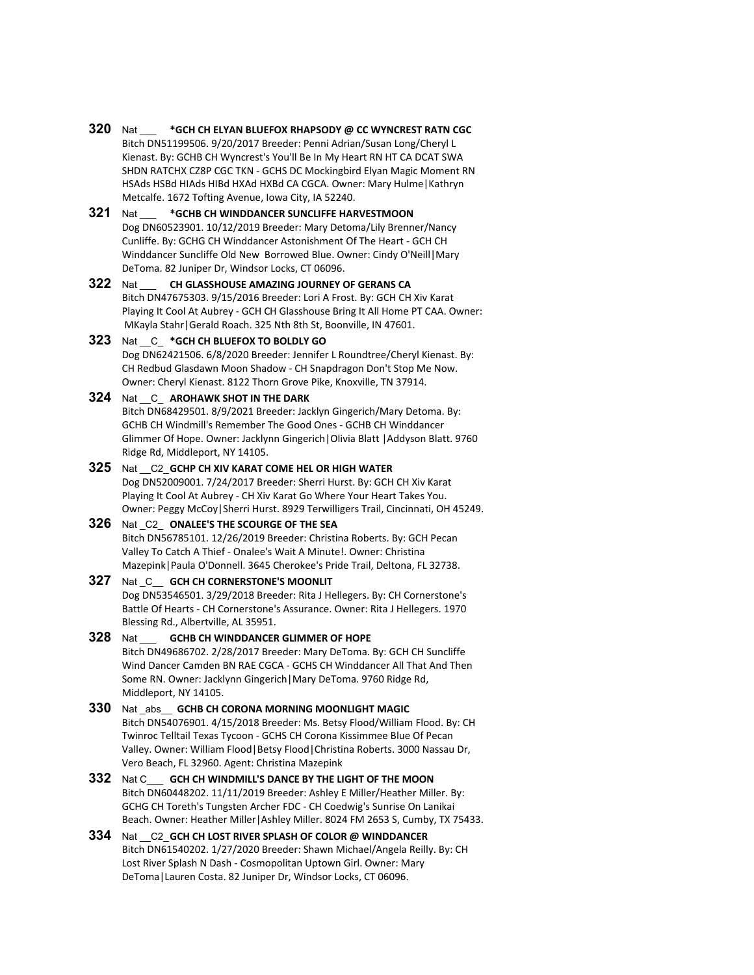- **320** Nat \_\_\_ **\*GCH CH ELYAN BLUEFOX RHAPSODY @ CC WYNCREST RATN CGC** Bitch DN51199506. 9/20/2017 Breeder: Penni Adrian/Susan Long/Cheryl L Kienast. By: GCHB CH Wyncrest's You'll Be In My Heart RN HT CA DCAT SWA SHDN RATCHX CZ8P CGC TKN - GCHS DC Mockingbird Elyan Magic Moment RN HSAds HSBd HIAds HIBd HXAd HXBd CA CGCA. Owner: Mary Hulme|Kathryn Metcalfe. 1672 Tofting Avenue, Iowa City, IA 52240.
- **321** Nat \_\_\_ **\*GCHB CH WINDDANCER SUNCLIFFE HARVESTMOON** Dog DN60523901. 10/12/2019 Breeder: Mary Detoma/Lily Brenner/Nancy Cunliffe. By: GCHG CH Winddancer Astonishment Of The Heart - GCH CH Winddancer Suncliffe Old New Borrowed Blue. Owner: Cindy O'Neill|Mary DeToma. 82 Juniper Dr, Windsor Locks, CT 06096.
- **322** Nat \_\_\_ **CH GLASSHOUSE AMAZING JOURNEY OF GERANS CA** Bitch DN47675303. 9/15/2016 Breeder: Lori A Frost. By: GCH CH Xiv Karat Playing It Cool At Aubrey - GCH CH Glasshouse Bring It All Home PT CAA. Owner: MKayla Stahr|Gerald Roach. 325 Nth 8th St, Boonville, IN 47601.
- **323** Nat \_\_C\_ **\*GCH CH BLUEFOX TO BOLDLY GO** Dog DN62421506. 6/8/2020 Breeder: Jennifer L Roundtree/Cheryl Kienast. By: CH Redbud Glasdawn Moon Shadow - CH Snapdragon Don't Stop Me Now. Owner: Cheryl Kienast. 8122 Thorn Grove Pike, Knoxville, TN 37914.

## **324** Nat \_\_C\_ **AROHAWK SHOT IN THE DARK** Bitch DN68429501. 8/9/2021 Breeder: Jacklyn Gingerich/Mary Detoma. By: GCHB CH Windmill's Remember The Good Ones - GCHB CH Winddancer

- Glimmer Of Hope. Owner: Jacklynn Gingerich|Olivia Blatt |Addyson Blatt. 9760 Ridge Rd, Middleport, NY 14105. **325** Nat \_\_C2\_**GCHP CH XIV KARAT COME HEL OR HIGH WATER**
- Dog DN52009001. 7/24/2017 Breeder: Sherri Hurst. By: GCH CH Xiv Karat Playing It Cool At Aubrey - CH Xiv Karat Go Where Your Heart Takes You. Owner: Peggy McCoy|Sherri Hurst. 8929 Terwilligers Trail, Cincinnati, OH 45249.

#### **326** Nat \_C2\_ **ONALEE'S THE SCOURGE OF THE SEA** Bitch DN56785101. 12/26/2019 Breeder: Christina Roberts. By: GCH Pecan Valley To Catch A Thief - Onalee's Wait A Minute!. Owner: Christina

- Mazepink|Paula O'Donnell. 3645 Cherokee's Pride Trail, Deltona, FL 32738. **327** Nat C\_\_ GCH CH CORNERSTONE'S MOONLIT Dog DN53546501. 3/29/2018 Breeder: Rita J Hellegers. By: CH Cornerstone's Battle Of Hearts - CH Cornerstone's Assurance. Owner: Rita J Hellegers. 1970
- Blessing Rd., Albertville, AL 35951. **328** Nat \_\_\_ **GCHB CH WINDDANCER GLIMMER OF HOPE** Bitch DN49686702. 2/28/2017 Breeder: Mary DeToma. By: GCH CH Suncliffe Wind Dancer Camden BN RAE CGCA - GCHS CH Winddancer All That And Then Some RN. Owner: Jacklynn Gingerich|Mary DeToma. 9760 Ridge Rd, Middleport, NY 14105.
- **330** Nat \_abs\_\_ **GCHB CH CORONA MORNING MOONLIGHT MAGIC** Bitch DN54076901. 4/15/2018 Breeder: Ms. Betsy Flood/William Flood. By: CH Twinroc Telltail Texas Tycoon - GCHS CH Corona Kissimmee Blue Of Pecan Valley. Owner: William Flood|Betsy Flood|Christina Roberts. 3000 Nassau Dr, Vero Beach, FL 32960. Agent: Christina Mazepink
- **332** Nat C\_\_\_ **GCH CH WINDMILL'S DANCE BY THE LIGHT OF THE MOON** Bitch DN60448202. 11/11/2019 Breeder: Ashley E Miller/Heather Miller. By: GCHG CH Toreth's Tungsten Archer FDC - CH Coedwig's Sunrise On Lanikai Beach. Owner: Heather Miller|Ashley Miller. 8024 FM 2653 S, Cumby, TX 75433.
- **334** Nat \_\_C2\_**GCH CH LOST RIVER SPLASH OF COLOR @ WINDDANCER** Bitch DN61540202. 1/27/2020 Breeder: Shawn Michael/Angela Reilly. By: CH Lost River Splash N Dash - Cosmopolitan Uptown Girl. Owner: Mary DeToma|Lauren Costa. 82 Juniper Dr, Windsor Locks, CT 06096.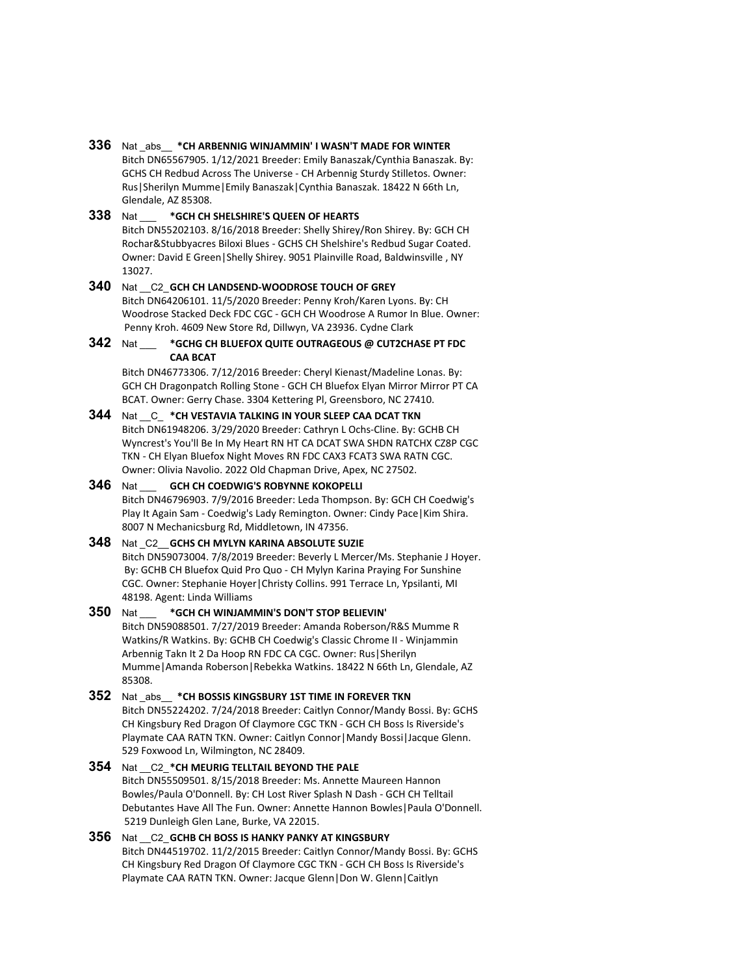**336** Nat \_abs\_\_ **\*CH ARBENNIG WINJAMMIN' I WASN'T MADE FOR WINTER** Bitch DN65567905. 1/12/2021 Breeder: Emily Banaszak/Cynthia Banaszak. By: GCHS CH Redbud Across The Universe - CH Arbennig Sturdy Stilletos. Owner: Rus|Sherilyn Mumme|Emily Banaszak|Cynthia Banaszak. 18422 N 66th Ln, Glendale, AZ 85308.

#### **338** Nat \_\_\_ **\*GCH CH SHELSHIRE'S QUEEN OF HEARTS**

Bitch DN55202103. 8/16/2018 Breeder: Shelly Shirey/Ron Shirey. By: GCH CH Rochar&Stubbyacres Biloxi Blues - GCHS CH Shelshire's Redbud Sugar Coated. Owner: David E Green|Shelly Shirey. 9051 Plainville Road, Baldwinsville , NY 13027.

**340** Nat \_\_C2\_**GCH CH LANDSEND-WOODROSE TOUCH OF GREY** Bitch DN64206101. 11/5/2020 Breeder: Penny Kroh/Karen Lyons. By: CH Woodrose Stacked Deck FDC CGC - GCH CH Woodrose A Rumor In Blue. Owner: Penny Kroh. 4609 New Store Rd, Dillwyn, VA 23936. Cydne Clark

#### **342** Nat \_\_\_ **\*GCHG CH BLUEFOX QUITE OUTRAGEOUS @ CUT2CHASE PT FDC CAA BCAT**

Bitch DN46773306. 7/12/2016 Breeder: Cheryl Kienast/Madeline Lonas. By: GCH CH Dragonpatch Rolling Stone - GCH CH Bluefox Elyan Mirror Mirror PT CA BCAT. Owner: Gerry Chase. 3304 Kettering Pl, Greensboro, NC 27410.

#### **344** Nat \_\_C\_ **\*CH VESTAVIA TALKING IN YOUR SLEEP CAA DCAT TKN** Bitch DN61948206. 3/29/2020 Breeder: Cathryn L Ochs-Cline. By: GCHB CH Wyncrest's You'll Be In My Heart RN HT CA DCAT SWA SHDN RATCHX CZ8P CGC TKN - CH Elyan Bluefox Night Moves RN FDC CAX3 FCAT3 SWA RATN CGC. Owner: Olivia Navolio. 2022 Old Chapman Drive, Apex, NC 27502.

#### **346** Nat \_\_\_ **GCH CH COEDWIG'S ROBYNNE KOKOPELLI** Bitch DN46796903. 7/9/2016 Breeder: Leda Thompson. By: GCH CH Coedwig's Play It Again Sam - Coedwig's Lady Remington. Owner: Cindy Pace|Kim Shira. 8007 N Mechanicsburg Rd, Middletown, IN 47356.

#### **348** Nat \_C2\_\_**GCHS CH MYLYN KARINA ABSOLUTE SUZIE** Bitch DN59073004. 7/8/2019 Breeder: Beverly L Mercer/Ms. Stephanie J Hoyer. By: GCHB CH Bluefox Quid Pro Quo - CH Mylyn Karina Praying For Sunshine CGC. Owner: Stephanie Hoyer|Christy Collins. 991 Terrace Ln, Ypsilanti, MI 48198. Agent: Linda Williams

#### **350** Nat \_\_\_ **\*GCH CH WINJAMMIN'S DON'T STOP BELIEVIN'** Bitch DN59088501. 7/27/2019 Breeder: Amanda Roberson/R&S Mumme R Watkins/R Watkins. By: GCHB CH Coedwig's Classic Chrome II - Winjammin Arbennig Takn It 2 Da Hoop RN FDC CA CGC. Owner: Rus|Sherilyn Mumme|Amanda Roberson|Rebekka Watkins. 18422 N 66th Ln, Glendale, AZ 85308.

- **352** Nat \_abs\_\_ **\*CH BOSSIS KINGSBURY 1ST TIME IN FOREVER TKN** Bitch DN55224202. 7/24/2018 Breeder: Caitlyn Connor/Mandy Bossi. By: GCHS CH Kingsbury Red Dragon Of Claymore CGC TKN - GCH CH Boss Is Riverside's Playmate CAA RATN TKN. Owner: Caitlyn Connor|Mandy Bossi|Jacque Glenn. 529 Foxwood Ln, Wilmington, NC 28409.
- **354** Nat \_\_C2\_**\*CH MEURIG TELLTAIL BEYOND THE PALE** Bitch DN55509501. 8/15/2018 Breeder: Ms. Annette Maureen Hannon Bowles/Paula O'Donnell. By: CH Lost River Splash N Dash - GCH CH Telltail Debutantes Have All The Fun. Owner: Annette Hannon Bowles|Paula O'Donnell. 5219 Dunleigh Glen Lane, Burke, VA 22015.
- **356** Nat \_\_C2\_**GCHB CH BOSS IS HANKY PANKY AT KINGSBURY** Bitch DN44519702. 11/2/2015 Breeder: Caitlyn Connor/Mandy Bossi. By: GCHS CH Kingsbury Red Dragon Of Claymore CGC TKN - GCH CH Boss Is Riverside's Playmate CAA RATN TKN. Owner: Jacque Glenn|Don W. Glenn|Caitlyn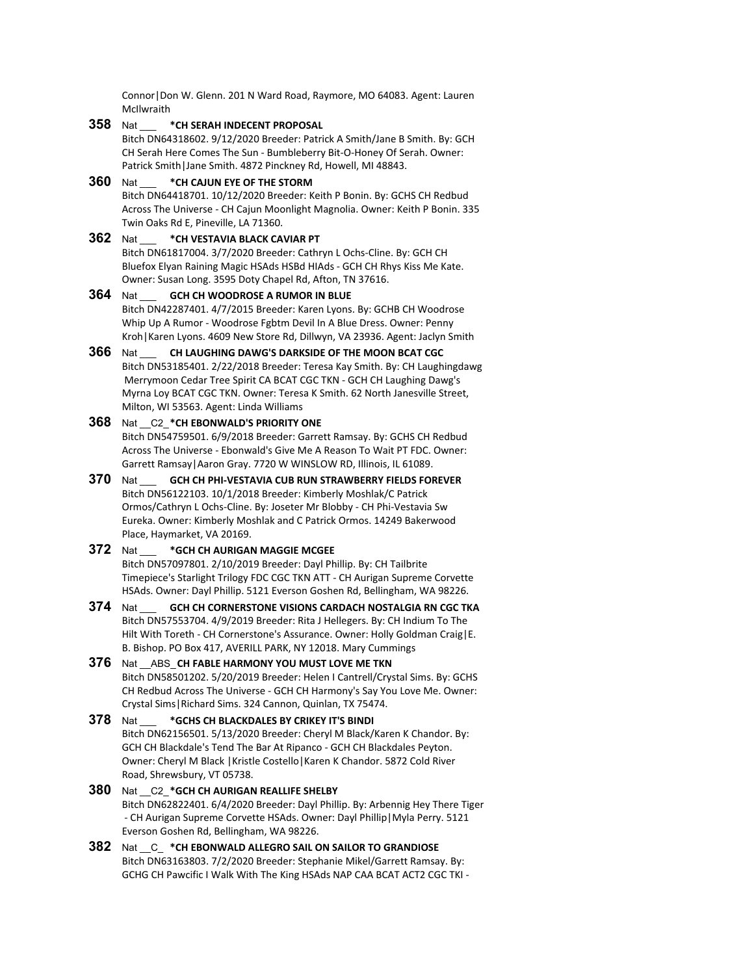Connor|Don W. Glenn. 201 N Ward Road, Raymore, MO 64083. Agent: Lauren McIlwraith

- **358** Nat \_\_\_ **\*CH SERAH INDECENT PROPOSAL** Bitch DN64318602. 9/12/2020 Breeder: Patrick A Smith/Jane B Smith. By: GCH CH Serah Here Comes The Sun - Bumbleberry Bit-O-Honey Of Serah. Owner: Patrick Smith|Jane Smith. 4872 Pinckney Rd, Howell, MI 48843.
- **360** Nat \_\_\_ **\*CH CAJUN EYE OF THE STORM** Bitch DN64418701. 10/12/2020 Breeder: Keith P Bonin. By: GCHS CH Redbud Across The Universe - CH Cajun Moonlight Magnolia. Owner: Keith P Bonin. 335 Twin Oaks Rd E, Pineville, LA 71360.

#### **362** Nat \_\_\_ **\*CH VESTAVIA BLACK CAVIAR PT**

Bitch DN61817004. 3/7/2020 Breeder: Cathryn L Ochs-Cline. By: GCH CH Bluefox Elyan Raining Magic HSAds HSBd HIAds - GCH CH Rhys Kiss Me Kate. Owner: Susan Long. 3595 Doty Chapel Rd, Afton, TN 37616.

- **364** Nat \_\_\_ **GCH CH WOODROSE A RUMOR IN BLUE** Bitch DN42287401. 4/7/2015 Breeder: Karen Lyons. By: GCHB CH Woodrose Whip Up A Rumor - Woodrose Fgbtm Devil In A Blue Dress. Owner: Penny Kroh|Karen Lyons. 4609 New Store Rd, Dillwyn, VA 23936. Agent: Jaclyn Smith
- **366** Nat \_\_\_ **CH LAUGHING DAWG'S DARKSIDE OF THE MOON BCAT CGC** Bitch DN53185401. 2/22/2018 Breeder: Teresa Kay Smith. By: CH Laughingdawg Merrymoon Cedar Tree Spirit CA BCAT CGC TKN - GCH CH Laughing Dawg's Myrna Loy BCAT CGC TKN. Owner: Teresa K Smith. 62 North Janesville Street, Milton, WI 53563. Agent: Linda Williams

#### **368** Nat \_\_C2\_**\*CH EBONWALD'S PRIORITY ONE**

Bitch DN54759501. 6/9/2018 Breeder: Garrett Ramsay. By: GCHS CH Redbud Across The Universe - Ebonwald's Give Me A Reason To Wait PT FDC. Owner: Garrett Ramsay|Aaron Gray. 7720 W WINSLOW RD, Illinois, IL 61089.

**370** Nat \_\_\_ **GCH CH PHI-VESTAVIA CUB RUN STRAWBERRY FIELDS FOREVER** Bitch DN56122103. 10/1/2018 Breeder: Kimberly Moshlak/C Patrick Ormos/Cathryn L Ochs-Cline. By: Joseter Mr Blobby - CH Phi-Vestavia Sw Eureka. Owner: Kimberly Moshlak and C Patrick Ormos. 14249 Bakerwood Place, Haymarket, VA 20169.

## **372** Nat \_\_\_ **\*GCH CH AURIGAN MAGGIE MCGEE**

Bitch DN57097801. 2/10/2019 Breeder: Dayl Phillip. By: CH Tailbrite Timepiece's Starlight Trilogy FDC CGC TKN ATT - CH Aurigan Supreme Corvette HSAds. Owner: Dayl Phillip. 5121 Everson Goshen Rd, Bellingham, WA 98226.

- **374** Nat \_\_\_ **GCH CH CORNERSTONE VISIONS CARDACH NOSTALGIA RN CGC TKA** Bitch DN57553704. 4/9/2019 Breeder: Rita J Hellegers. By: CH Indium To The Hilt With Toreth - CH Cornerstone's Assurance. Owner: Holly Goldman Craig|E. B. Bishop. PO Box 417, AVERILL PARK, NY 12018. Mary Cummings
- **376** Nat \_\_ABS\_**CH FABLE HARMONY YOU MUST LOVE ME TKN** Bitch DN58501202. 5/20/2019 Breeder: Helen I Cantrell/Crystal Sims. By: GCHS CH Redbud Across The Universe - GCH CH Harmony's Say You Love Me. Owner: Crystal Sims|Richard Sims. 324 Cannon, Quinlan, TX 75474.

```
378 Nat ___ *GCHS CH BLACKDALES BY CRIKEY IT'S BINDI
Bitch DN62156501. 5/13/2020 Breeder: Cheryl M Black/Karen K Chandor. By: 
 GCH CH Blackdale's Tend The Bar At Ripanco - GCH CH Blackdales Peyton. 
 Owner: Cheryl M Black |Kristle Costello|Karen K Chandor. 5872 Cold River 
 Road, Shrewsbury, VT 05738.
```
- **380** Nat \_\_C2\_**\*GCH CH AURIGAN REALLIFE SHELBY** Bitch DN62822401. 6/4/2020 Breeder: Dayl Phillip. By: Arbennig Hey There Tiger - CH Aurigan Supreme Corvette HSAds. Owner: Dayl Phillip|Myla Perry. 5121 Everson Goshen Rd, Bellingham, WA 98226.
- **382** Nat \_\_C\_ **\*CH EBONWALD ALLEGRO SAIL ON SAILOR TO GRANDIOSE** Bitch DN63163803. 7/2/2020 Breeder: Stephanie Mikel/Garrett Ramsay. By: GCHG CH Pawcific I Walk With The King HSAds NAP CAA BCAT ACT2 CGC TKI -